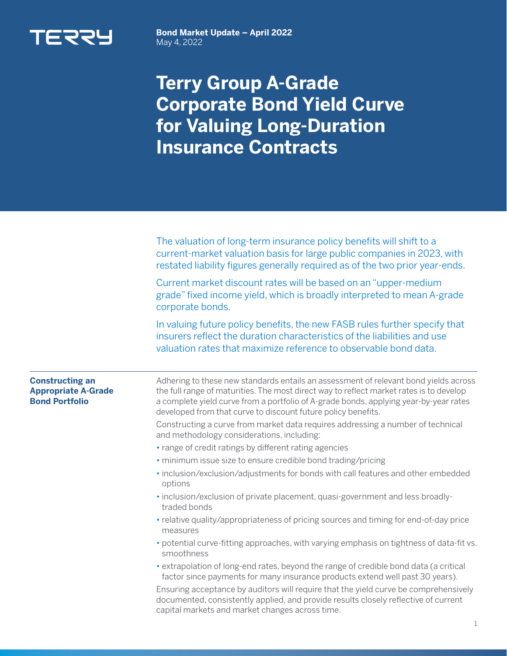

**Bond Market Update – April 2022**  May 4, 2022

## **Terry Group A-Grade Corporate Bond Yield Curve for Valuing Long-Duration Insurance Contracts**

|                                                                               | The valuation of long-term insurance policy benefits will shift to a<br>current-market valuation basis for large public companies in 2023, with<br>restated liability figures generally required as of the two prior year-ends.                                                                                                           |  |  |  |
|-------------------------------------------------------------------------------|-------------------------------------------------------------------------------------------------------------------------------------------------------------------------------------------------------------------------------------------------------------------------------------------------------------------------------------------|--|--|--|
|                                                                               | Current market discount rates will be based on an "upper-medium<br>grade" fixed income yield, which is broadly interpreted to mean A-grade<br>corporate bonds.                                                                                                                                                                            |  |  |  |
|                                                                               | In valuing future policy benefits, the new FASB rules further specify that<br>insurers reflect the duration characteristics of the liabilities and use<br>valuation rates that maximize reference to observable bond data.                                                                                                                |  |  |  |
| <b>Constructing an</b><br><b>Appropriate A-Grade</b><br><b>Bond Portfolio</b> | Adhering to these new standards entails an assessment of relevant bond yields across<br>the full range of maturities. The most direct way to reflect market rates is to develop<br>a complete yield curve from a portfolio of A-grade bonds, applying year-by-year rates<br>developed from that curve to discount future policy benefits. |  |  |  |
|                                                                               | Constructing a curve from market data requires addressing a number of technical<br>and methodology considerations, including:                                                                                                                                                                                                             |  |  |  |
|                                                                               | • range of credit ratings by different rating agencies                                                                                                                                                                                                                                                                                    |  |  |  |
|                                                                               | · minimum issue size to ensure credible bond trading/pricing                                                                                                                                                                                                                                                                              |  |  |  |
|                                                                               | · inclusion/exclusion/adjustments for bonds with call features and other embedded<br>options                                                                                                                                                                                                                                              |  |  |  |
|                                                                               | · inclusion/exclusion of private placement, quasi-government and less broadly-<br>traded bonds                                                                                                                                                                                                                                            |  |  |  |
|                                                                               | • relative quality/appropriateness of pricing sources and timing for end-of-day price<br>measures                                                                                                                                                                                                                                         |  |  |  |
|                                                                               | • potential curve-fitting approaches, with varying emphasis on tightness of data-fit vs.<br>smoothness                                                                                                                                                                                                                                    |  |  |  |
|                                                                               | • extrapolation of long-end rates, beyond the range of credible bond data (a critical<br>factor since payments for many insurance products extend well past 30 years).                                                                                                                                                                    |  |  |  |
|                                                                               | Ensuring acceptance by auditors will require that the yield curve be comprehensively<br>documented, consistently applied, and provide results closely reflective of current<br>capital markets and market changes across time.                                                                                                            |  |  |  |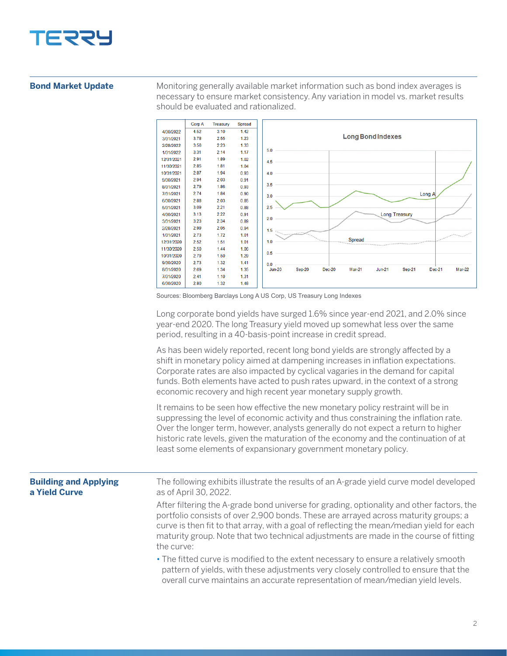

## **Bond Market Update**

Monitoring generally available market information such as bond index averages is necessary to ensure market consistency. Any variation in model vs. market results should be evaluated and rationalized.



Sources: Bloomberg Barclays Long A US Corp, US Treasury Long Indexes

Long corporate bond yields have surged 1.6% since year-end 2021, and 2.0% since year-end 2020. The long Treasury yield moved up somewhat less over the same period, resulting in a 40-basis-point increase in credit spread.

As has been widely reported, recent long bond yields are strongly affected by a shift in monetary policy aimed at dampening increases in inflation expectations. Corporate rates are also impacted by cyclical vagaries in the demand for capital funds. Both elements have acted to push rates upward, in the context of a strong economic recovery and high recent year monetary supply growth.

It remains to be seen how effective the new monetary policy restraint will be in suppressing the level of economic activity and thus constraining the inflation rate. Over the longer term, however, analysts generally do not expect a return to higher historic rate levels, given the maturation of the economy and the continuation of at least some elements of expansionary government monetary policy.

| <b>Building and Applying</b><br>a Yield Curve | The following exhibits illustrate the results of an A-grade yield curve model developed<br>as of April 30, 2022.                                                                                                                                                                                                                                                                     |
|-----------------------------------------------|--------------------------------------------------------------------------------------------------------------------------------------------------------------------------------------------------------------------------------------------------------------------------------------------------------------------------------------------------------------------------------------|
|                                               | After filtering the A-grade bond universe for grading, optionality and other factors, the<br>portfolio consists of over 2,900 bonds. These are arrayed across maturity groups; a<br>curve is then fit to that array, with a goal of reflecting the mean/median yield for each<br>maturity group. Note that two technical adjustments are made in the course of fitting<br>the curve: |
|                                               | • The fitted curve is modified to the extent necessary to ensure a relatively smooth<br>pattern of yields, with these adjustments very closely controlled to ensure that the<br>overall curve maintains an accurate representation of mean/median yield levels.                                                                                                                      |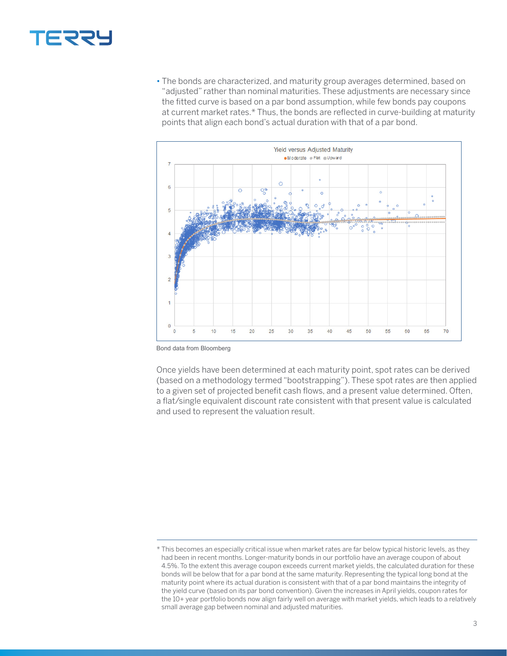## **TERRY**

• The bonds are characterized, and maturity group averages determined, based on "adjusted" rather than nominal maturities. These adjustments are necessary since the fitted curve is based on a par bond assumption, while few bonds pay coupons at current market rates.\* Thus, the bonds are reflected in curve-building at maturity points that align each bond's actual duration with that of a par bond.



Bond data from Bloomberg

Once yields have been determined at each maturity point, spot rates can be derived (based on a methodology termed "bootstrapping"). These spot rates are then applied to a given set of projected benefit cash flows, and a present value determined. Often, a flat/single equivalent discount rate consistent with that present value is calculated and used to represent the valuation result.

<sup>\*</sup> This becomes an especially critical issue when market rates are far below typical historic levels, as they had been in recent months. Longer-maturity bonds in our portfolio have an average coupon of about 4.5%. To the extent this average coupon exceeds current market yields, the calculated duration for these bonds will be below that for a par bond at the same maturity. Representing the typical long bond at the maturity point where its actual duration is consistent with that of a par bond maintains the integrity of the yield curve (based on its par bond convention). Given the increases in April yields, coupon rates for the 10+ year portfolio bonds now align fairly well on average with market yields, which leads to a relatively small average gap between nominal and adjusted maturities.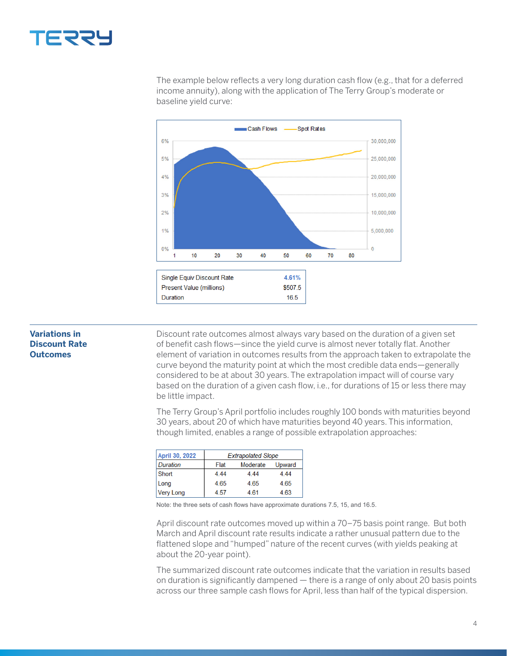![](_page_3_Picture_0.jpeg)

The example below reflects a very long duration cash flow (e.g., that for a deferred income annuity), along with the application of The Terry Group's moderate or baseline yield curve:

![](_page_3_Figure_2.jpeg)

## **Variations in Discount Rate Outcomes**

Discount rate outcomes almost always vary based on the duration of a given set of benefit cash flows—since the yield curve is almost never totally flat. Another element of variation in outcomes results from the approach taken to extrapolate the curve beyond the maturity point at which the most credible data ends—generally considered to be at about 30 years. The extrapolation impact will of course vary based on the duration of a given cash flow, i.e., for durations of 15 or less there may be little impact.

The Terry Group's April portfolio includes roughly 100 bonds with maturities beyond 30 years, about 20 of which have maturities beyond 40 years. This information, though limited, enables a range of possible extrapolation approaches:

| April 30, 2022   | <b>Extrapolated Slope</b> |          |        |
|------------------|---------------------------|----------|--------|
| <b>Duration</b>  | Flat                      | Moderate | Upward |
| Short            | 4.44                      | 4.44     | 4.44   |
| Long             | 4.65                      | 4.65     | 4.65   |
| <b>Very Long</b> | 4.57                      | 4.61     | 4.63   |

Note: the three sets of cash flows have approximate durations 7.5, 15, and 16.5.

April discount rate outcomes moved up within a 70–75 basis point range. But both March and April discount rate results indicate a rather unusual pattern due to the flattened slope and "humped" nature of the recent curves (with yields peaking at about the 20-year point).

The summarized discount rate outcomes indicate that the variation in results based on duration is significantly dampened — there is a range of only about 20 basis points across our three sample cash flows for April, less than half of the typical dispersion.